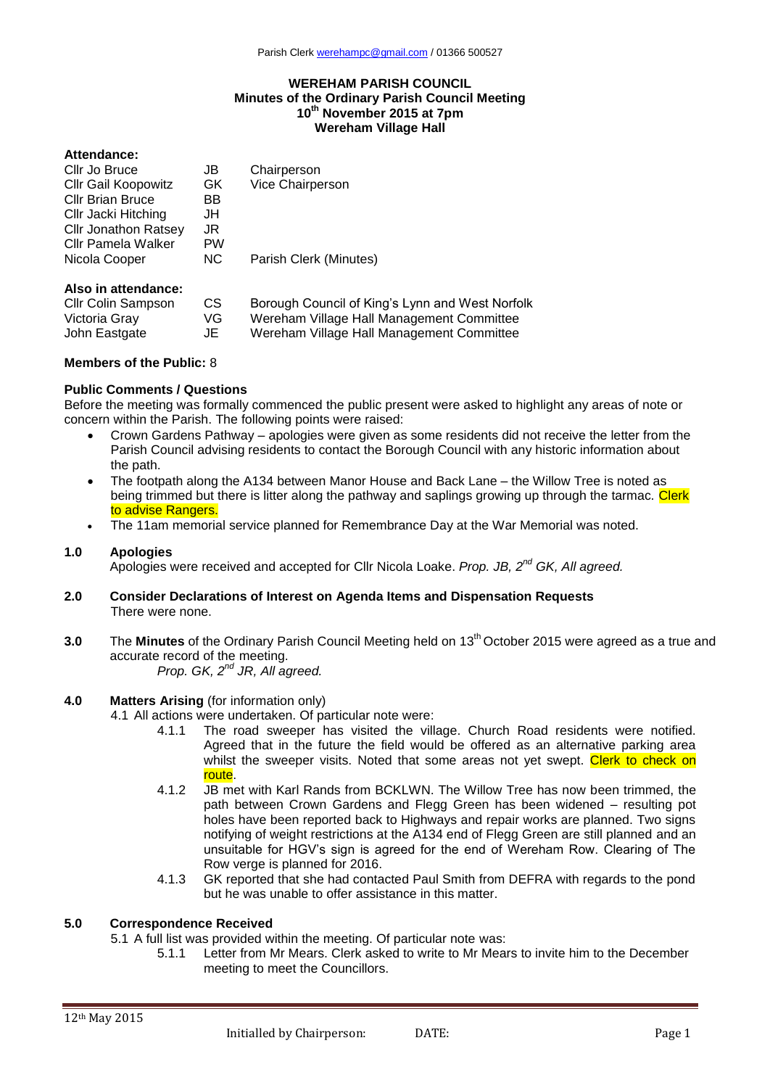### **WEREHAM PARISH COUNCIL Minutes of the Ordinary Parish Council Meeting 10 th November 2015 at 7pm Wereham Village Hall**

### **Attendance:**

| Cllr Jo Bruce               | JB        | Chairperson            |  |
|-----------------------------|-----------|------------------------|--|
| <b>Cllr Gail Koopowitz</b>  | GK.       | Vice Chairperson       |  |
| <b>Cllr Brian Bruce</b>     | ВB        |                        |  |
| Cllr Jacki Hitching         | JH        |                        |  |
| <b>Cllr Jonathon Ratsey</b> | JR        |                        |  |
| Cllr Pamela Walker          | <b>PW</b> |                        |  |
| Nicola Cooper               | NC.       | Parish Clerk (Minutes) |  |
| Alen in attondance.         |           |                        |  |

### **Also in attendance:**

| <b>CIIr Colin Sampson</b> | CS. | Borough Council of King's Lynn and West Norfolk |
|---------------------------|-----|-------------------------------------------------|
| Victoria Gray             | VG. | Wereham Village Hall Management Committee       |
| John Eastgate             | JE  | Wereham Village Hall Management Committee       |

### **Members of the Public:** 8

## **Public Comments / Questions**

Before the meeting was formally commenced the public present were asked to highlight any areas of note or concern within the Parish. The following points were raised:

- Crown Gardens Pathway apologies were given as some residents did not receive the letter from the Parish Council advising residents to contact the Borough Council with any historic information about the path.
- The footpath along the A134 between Manor House and Back Lane the Willow Tree is noted as being trimmed but there is litter along the pathway and saplings growing up through the tarmac. Clerk to advise Rangers.
- The 11am memorial service planned for Remembrance Day at the War Memorial was noted.

#### **1.0 Apologies**

Apologies were received and accepted for Cllr Nicola Loake. *Prop. JB, 2nd GK, All agreed.*

- **2.0 Consider Declarations of Interest on Agenda Items and Dispensation Requests** There were none.
- **3.0** The **Minutes** of the Ordinary Parish Council Meeting held on 13<sup>th</sup> October 2015 were agreed as a true and accurate record of the meeting.

# *Prop. GK, 2 nd JR, All agreed.*

## **4.0 Matters Arising** (for information only)

- 4.1 All actions were undertaken. Of particular note were:
	- 4.1.1 The road sweeper has visited the village. Church Road residents were notified. Agreed that in the future the field would be offered as an alternative parking area whilst the sweeper visits. Noted that some areas not yet swept. Clerk to check on route.
	- 4.1.2 JB met with Karl Rands from BCKLWN. The Willow Tree has now been trimmed, the path between Crown Gardens and Flegg Green has been widened – resulting pot holes have been reported back to Highways and repair works are planned. Two signs notifying of weight restrictions at the A134 end of Flegg Green are still planned and an unsuitable for HGV's sign is agreed for the end of Wereham Row. Clearing of The Row verge is planned for 2016.
	- 4.1.3 GK reported that she had contacted Paul Smith from DEFRA with regards to the pond but he was unable to offer assistance in this matter.

### **5.0 Correspondence Received**

5.1 A full list was provided within the meeting. Of particular note was:

5.1.1 Letter from Mr Mears. Clerk asked to write to Mr Mears to invite him to the December meeting to meet the Councillors.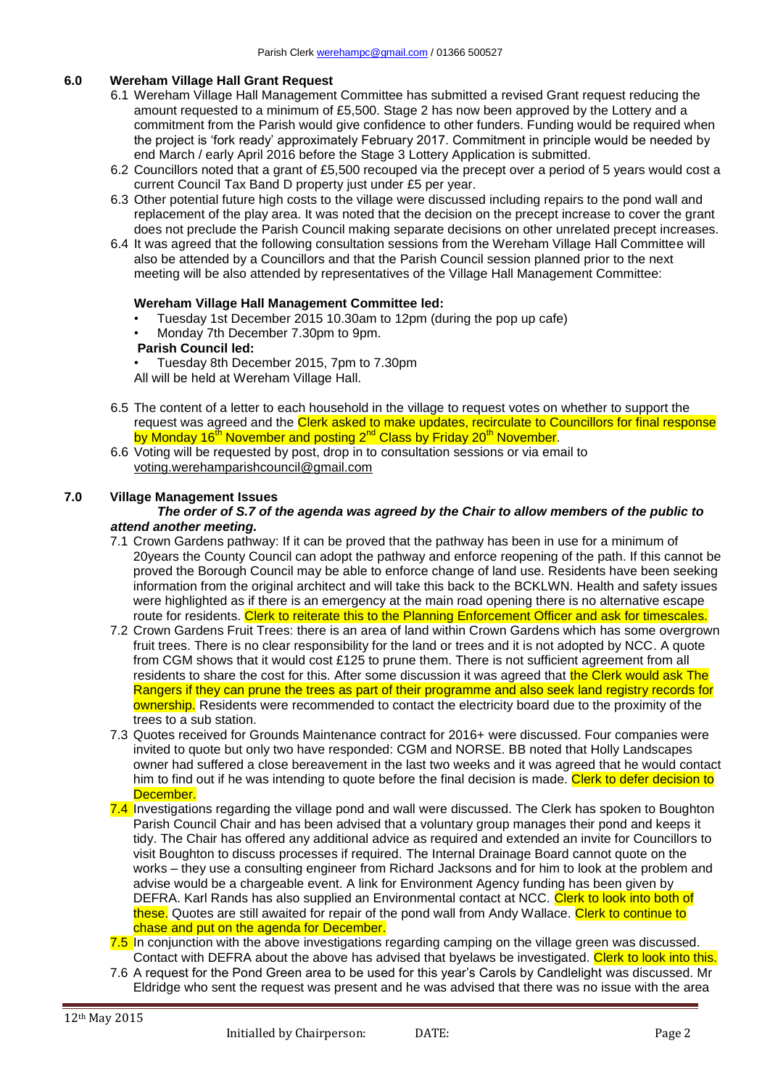## **6.0 Wereham Village Hall Grant Request**

- 6.1 Wereham Village Hall Management Committee has submitted a revised Grant request reducing the amount requested to a minimum of £5,500. Stage 2 has now been approved by the Lottery and a commitment from the Parish would give confidence to other funders. Funding would be required when the project is 'fork ready' approximately February 2017. Commitment in principle would be needed by end March / early April 2016 before the Stage 3 Lottery Application is submitted.
- 6.2 Councillors noted that a grant of £5,500 recouped via the precept over a period of 5 years would cost a current Council Tax Band D property just under £5 per year.
- 6.3 Other potential future high costs to the village were discussed including repairs to the pond wall and replacement of the play area. It was noted that the decision on the precept increase to cover the grant does not preclude the Parish Council making separate decisions on other unrelated precept increases.
- 6.4 It was agreed that the following consultation sessions from the Wereham Village Hall Committee will also be attended by a Councillors and that the Parish Council session planned prior to the next meeting will be also attended by representatives of the Village Hall Management Committee:

### **Wereham Village Hall Management Committee led:**

- Tuesday 1st December 2015 10.30am to 12pm (during the pop up cafe)
- Monday 7th December 7.30pm to 9pm. **Parish Council led:**

• Tuesday 8th December 2015, 7pm to 7.30pm

- All will be held at Wereham Village Hall.
- 6.5 The content of a letter to each household in the village to request votes on whether to support the request was agreed and the Clerk asked to make updates, recirculate to Councillors for final response by Monday 16<sup>th</sup> November and posting 2<sup>nd</sup> Class by Friday 20<sup>th</sup> November.
- 6.6 Voting will be requested by post, drop in to consultation sessions or via email to voting.werehamparishcouncil@gmail.com

### **7.0 Village Management Issues**

#### *The order of S.7 of the agenda was agreed by the Chair to allow members of the public to attend another meeting.*

- 7.1 Crown Gardens pathway: If it can be proved that the pathway has been in use for a minimum of 20years the County Council can adopt the pathway and enforce reopening of the path. If this cannot be proved the Borough Council may be able to enforce change of land use. Residents have been seeking information from the original architect and will take this back to the BCKLWN. Health and safety issues were highlighted as if there is an emergency at the main road opening there is no alternative escape route for residents. Clerk to reiterate this to the Planning Enforcement Officer and ask for timescales.
- 7.2 Crown Gardens Fruit Trees: there is an area of land within Crown Gardens which has some overgrown fruit trees. There is no clear responsibility for the land or trees and it is not adopted by NCC. A quote from CGM shows that it would cost £125 to prune them. There is not sufficient agreement from all residents to share the cost for this. After some discussion it was agreed that the Clerk would ask The Rangers if they can prune the trees as part of their programme and also seek land registry records for ownership. Residents were recommended to contact the electricity board due to the proximity of the trees to a sub station.
- 7.3 Quotes received for Grounds Maintenance contract for 2016+ were discussed. Four companies were invited to quote but only two have responded: CGM and NORSE. BB noted that Holly Landscapes owner had suffered a close bereavement in the last two weeks and it was agreed that he would contact him to find out if he was intending to quote before the final decision is made. Clerk to defer decision to December.
- 7.4 Investigations regarding the village pond and wall were discussed. The Clerk has spoken to Boughton Parish Council Chair and has been advised that a voluntary group manages their pond and keeps it tidy. The Chair has offered any additional advice as required and extended an invite for Councillors to visit Boughton to discuss processes if required. The Internal Drainage Board cannot quote on the works – they use a consulting engineer from Richard Jacksons and for him to look at the problem and advise would be a chargeable event. A link for Environment Agency funding has been given by DEFRA. Karl Rands has also supplied an Environmental contact at NCC. Clerk to look into both of these. Quotes are still awaited for repair of the pond wall from Andy Wallace. Clerk to continue to chase and put on the agenda for December.
- 7.5 In conjunction with the above investigations regarding camping on the village green was discussed. Contact with DEFRA about the above has advised that byelaws be investigated. Clerk to look into this.
- 7.6 A request for the Pond Green area to be used for this year's Carols by Candlelight was discussed. Mr Eldridge who sent the request was present and he was advised that there was no issue with the area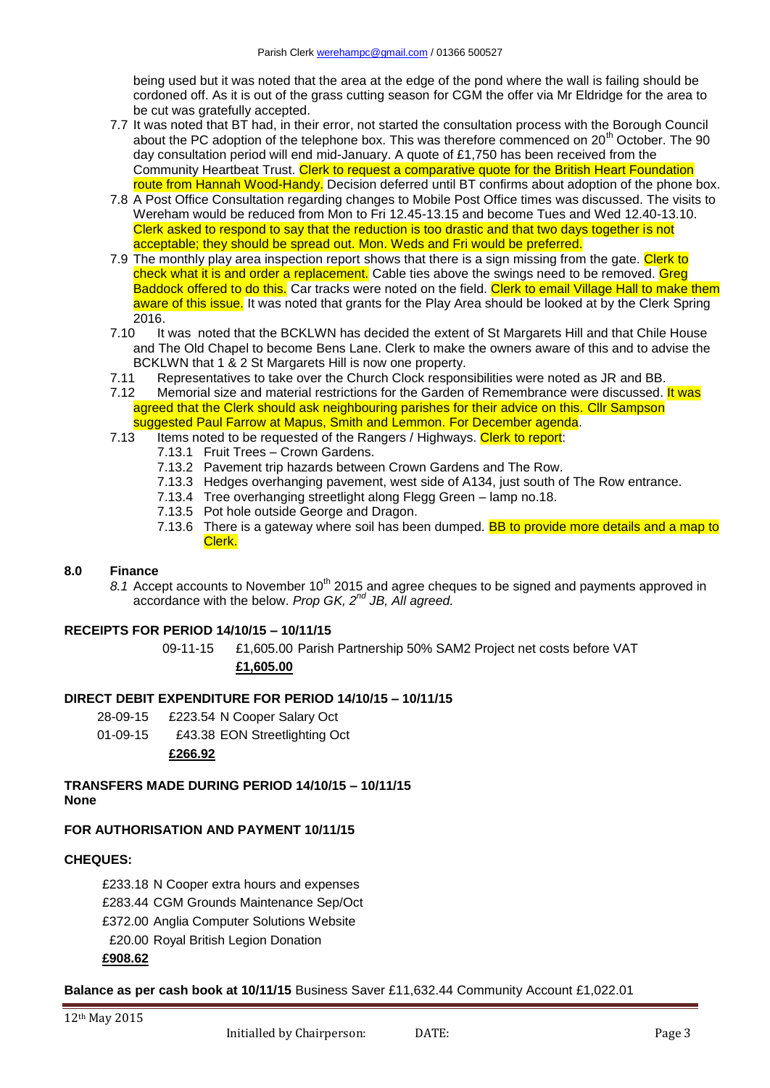being used but it was noted that the area at the edge of the pond where the wall is failing should be cordoned off. As it is out of the grass cutting season for CGM the offer via Mr Eldridge for the area to be cut was gratefully accepted.

- 7.7 It was noted that BT had, in their error, not started the consultation process with the Borough Council about the PC adoption of the telephone box. This was therefore commenced on 20<sup>th</sup> October. The 90 day consultation period will end mid-January. A quote of £1,750 has been received from the Community Heartbeat Trust. Clerk to request a comparative quote for the British Heart Foundation route from Hannah Wood-Handy. Decision deferred until BT confirms about adoption of the phone box.
- 7.8 A Post Office Consultation regarding changes to Mobile Post Office times was discussed. The visits to Wereham would be reduced from Mon to Fri 12.45-13.15 and become Tues and Wed 12.40-13.10. Clerk asked to respond to say that the reduction is too drastic and that two days together is not acceptable; they should be spread out. Mon. Weds and Fri would be preferred.
- 7.9 The monthly play area inspection report shows that there is a sign missing from the gate. Clerk to check what it is and order a replacement. Cable ties above the swings need to be removed. Greg Baddock offered to do this. Car tracks were noted on the field. Clerk to email Village Hall to make them aware of this issue. It was noted that grants for the Play Area should be looked at by the Clerk Spring 2016.
- 7.10 It was noted that the BCKLWN has decided the extent of St Margarets Hill and that Chile House and The Old Chapel to become Bens Lane. Clerk to make the owners aware of this and to advise the BCKLWN that 1 & 2 St Margarets Hill is now one property.
- 7.11 Representatives to take over the Church Clock responsibilities were noted as JR and BB.
- 7.12 Memorial size and material restrictions for the Garden of Remembrance were discussed. It was agreed that the Clerk should ask neighbouring parishes for their advice on this. Cllr Sampson suggested Paul Farrow at Mapus, Smith and Lemmon. For December agenda.
- 7.13 Items noted to be requested of the Rangers / Highways. Clerk to report:
	- 7.13.1 Fruit Trees Crown Gardens.
	- 7.13.2 Pavement trip hazards between Crown Gardens and The Row.
	- 7.13.3 Hedges overhanging pavement, west side of A134, just south of The Row entrance.
	- 7.13.4 Tree overhanging streetlight along Flegg Green lamp no.18.
	- 7.13.5 Pot hole outside George and Dragon.
	- 7.13.6 There is a gateway where soil has been dumped. **BB to provide more details and a map to** Clerk.

## **8.0 Finance**

8.1 Accept accounts to November 10<sup>th</sup> 2015 and agree cheques to be signed and payments approved in accordance with the below. *Prop GK, 2nd JB, All agreed.*

## **RECEIPTS FOR PERIOD 14/10/15 – 10/11/15**

09-11-15 £1,605.00 Parish Partnership 50% SAM2 Project net costs before VAT **£1,605.00**

## **DIRECT DEBIT EXPENDITURE FOR PERIOD 14/10/15 – 10/11/15**

- 28-09-15 £223.54 N Cooper Salary Oct
- 01-09-15 £43.38 EON Streetlighting Oct

### **£266.92**

### **TRANSFERS MADE DURING PERIOD 14/10/15 – 10/11/15 None**

## **FOR AUTHORISATION AND PAYMENT 10/11/15**

### **CHEQUES:**

- £233.18 N Cooper extra hours and expenses
- £283.44 CGM Grounds Maintenance Sep/Oct
- £372.00 Anglia Computer Solutions Website
- £20.00 Royal British Legion Donation

### **£908.62**

### **Balance as per cash book at 10/11/15** Business Saver £11,632.44 Community Account £1,022.01